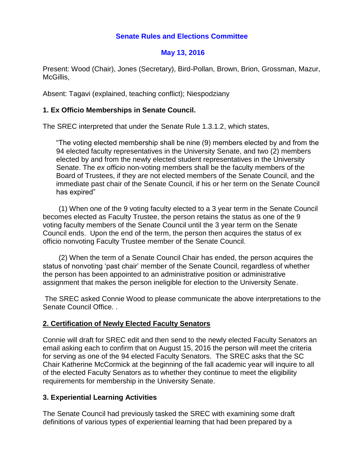# **Senate Rules and Elections Committee**

### **May 13, 2016**

Present: Wood (Chair), Jones (Secretary), Bird-Pollan, Brown, Brion, Grossman, Mazur, McGillis,

Absent: Tagavi (explained, teaching conflict); Niespodziany

### **1. Ex Officio Memberships in Senate Council.**

The SREC interpreted that under the Senate Rule 1.3.1.2, which states,

"The voting elected membership shall be nine (9) members elected by and from the 94 elected faculty representatives in the University Senate, and two (2) members elected by and from the newly elected student representatives in the University Senate. The *ex officio* non-voting members shall be the faculty members of the Board of Trustees, if they are not elected members of the Senate Council, and the immediate past chair of the Senate Council, if his or her term on the Senate Council has expired"

 (1) When one of the 9 voting faculty elected to a 3 year term in the Senate Council becomes elected as Faculty Trustee, the person retains the status as one of the 9 voting faculty members of the Senate Council until the 3 year term on the Senate Council ends. Upon the end of the term, the person then acquires the status of ex officio nonvoting Faculty Trustee member of the Senate Council.

 (2) When the term of a Senate Council Chair has ended, the person acquires the status of nonvoting 'past chair' member of the Senate Council, regardless of whether the person has been appointed to an administrative position or administrative assignment that makes the person ineligible for election to the University Senate.

The SREC asked Connie Wood to please communicate the above interpretations to the Senate Council Office. .

### **2. Certification of Newly Elected Faculty Senators**

Connie will draft for SREC edit and then send to the newly elected Faculty Senators an email asking each to confirm that on August 15, 2016 the person will meet the criteria for serving as one of the 94 elected Faculty Senators. The SREC asks that the SC Chair Katherine McCormick at the beginning of the fall academic year will inquire to all of the elected Faculty Senators as to whether they continue to meet the eligibility requirements for membership in the University Senate.

### **3. Experiential Learning Activities**

The Senate Council had previously tasked the SREC with examining some draft definitions of various types of experiential learning that had been prepared by a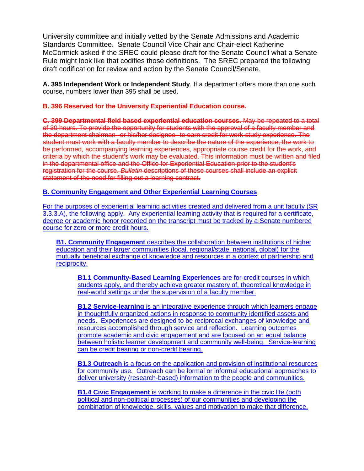University committee and initially vetted by the Senate Admissions and Academic Standards Committee. Senate Council Vice Chair and Chair-elect Katherine McCormick asked if the SREC could please draft for the Senate Council what a Senate Rule might look like that codifies those definitions. The SREC prepared the following draft codification for review and action by the Senate Council/Senate.

**A. 395 Independent Work or Independent Study**. If a department offers more than one such course, numbers lower than 395 shall be used.

**B. 396 Reserved for the University Experiential Education course.** 

**C. 399 Departmental field based experiential education courses.** May be repeated to a total of 30 hours. To provide the opportunity for students with the approval of a faculty member and the department chairman--or his/her designee--to earn credit for work-study experience. The student must work with a faculty member to describe the nature of the experience, the work to be performed, accompanying learning experiences, appropriate course credit for the work, and criteria by which the student's work may be evaluated. This information must be written and filed in the departmental office and the Office for Experiential Education prior to the student's registration for the course. *Bulletin* descriptions of these courses shall include an explicit statement of the need for filling out a learning contract.

#### **B. Community Engagement and Other Experiential Learning Courses**

For the purposes of experiential learning activities created and delivered from a unit faculty (SR 3.3.3.A), the following apply. Any experiential learning activity that is required for a certificate, degree or academic honor recorded on the transcript must be tracked by a Senate numbered course for zero or more credit hours.

**B1. Community Engagement** describes the collaboration between institutions of higher education and their larger communities (local, regional/state, national, global) for the mutually beneficial exchange of knowledge and resources in a context of partnership and reciprocity.

**B1.1 Community-Based Learning Experiences** are for-credit courses in which students apply, and thereby achieve greater mastery of, theoretical knowledge in real-world settings under the supervision of a faculty member.

**B1.2 Service-learning** is an integrative experience through which learners engage in thoughtfully organized actions in response to community identified assets and needs. Experiences are designed to be reciprocal exchanges of knowledge and resources accomplished through service and reflection. Learning outcomes promote academic and civic engagement and are focused on an equal balance between holistic learner development and community well-being. Service-learning can be credit bearing or non-credit bearing.

**B1.3 Outreach** is a focus on the application and provision of institutional resources for community use. Outreach can be formal or informal educational approaches to deliver university (research-based) information to the people and communities.

**B1.4 Civic Engagement** is working to make a difference in the civic life (both political and non-political processes) of our communities and developing the combination of knowledge, skills, values and motivation to make that difference.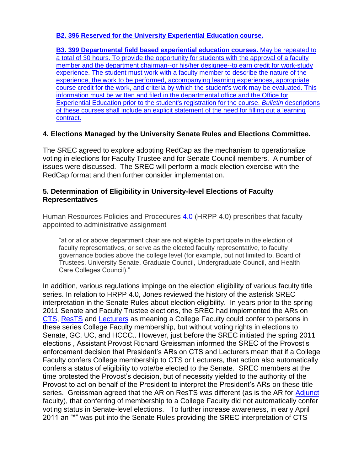### **B2. 396 Reserved for the University Experiential Education course.**

**B3. 399 Departmental field based experiential education courses.** May be repeated to a total of 30 hours. To provide the opportunity for students with the approval of a faculty member and the department chairman--or his/her designee--to earn credit for work-study experience. The student must work with a faculty member to describe the nature of the experience, the work to be performed, accompanying learning experiences, appropriate course credit for the work, and criteria by which the student's work may be evaluated. This information must be written and filed in the departmental office and the Office for Experiential Education prior to the student's registration for the course. *Bulletin* descriptions of these courses shall include an explicit statement of the need for filling out a learning contract.

# **4. Elections Managed by the University Senate Rules and Elections Committee.**

The SREC agreed to explore adopting RedCap as the mechanism to operationalize voting in elections for Faculty Trustee and for Senate Council members. A number of issues were discussed. The SREC will perform a mock election exercise with the RedCap format and then further consider implementation.

#### **5. Determination of Eligibility in University-level Elections of Faculty Representatives**

Human Resources Policies and Procedures [4.0](http://www.uky.edu/hr/policies/employee-status) (HRPP 4.0) prescribes that faculty appointed to administrative assignment

"at or at or above department chair are not eligible to participate in the election of faculty representatives, or serve as the elected faculty representative, to faculty governance bodies above the college level (for example, but not limited to, Board of Trustees, University Senate, Graduate Council, Undergraduate Council, and Health Care Colleges Council)."

In addition, various regulations impinge on the election eligibility of various faculty title series. In relation to HRPP 4.0, Jones reviewed the history of the asterisk SREC interpretation in the Senate Rules about election eligibility. In years prior to the spring 2011 Senate and Faculty Trustee elections, the SREC had implemented the ARs on [CTS,](http://www.uky.edu/Regs/Administrative/ar2.6.htm) [ResTS](http://www.uky.edu/Regs/Administrative/ar2.5.htm) and [Lecturers](http://www.uky.edu/Regs/Administrative/ar2.9.htm) as meaning a College Faculty could confer to persons in these series College Faculty membership, but without voting rights in elections to Senate, GC, UC, and HCCC.. However, just before the SREC initiated the spring 2011 elections , Assistant Provost Richard Greissman informed the SREC of the Provost's enforcement decision that President's ARs on CTS and Lecturers mean that if a College Faculty confers College membership to CTS or Lecturers, that action also automatically confers a status of eligibility to vote/be elected to the Senate. SREC members at the time protested the Provost's decision, but of necessity yielded to the authority of the Provost to act on behalf of the President to interpret the President's ARs on these title series. Greissman agreed that the AR on ResTS was different (as is the AR for Adjunct faculty), that conferring of membership to a College Faculty did not automatically confer voting status in Senate-level elections. To further increase awareness, in early April 2011 an "\*" was put into the Senate Rules providing the SREC interpretation of CTS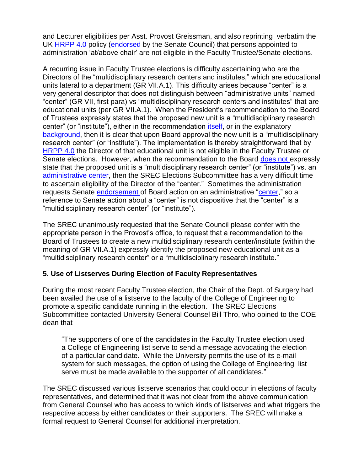and Lecturer eligibilities per Asst. Provost Greissman, and also reprinting verbatim the UK [HRPP 4.0](http://www.uky.edu/hr/policies/employee-status) policy [\(endorsed](http://www.uky.edu/Faculty/Senate/senate_council/minutes/2008-2009/SC%20Minutes%20November%203,%202008%20TO%20SC_POST.pdf) by the Senate Council) that persons appointed to administration 'at/above chair' are not eligible in the Faculty Trustee/Senate elections.

A recurring issue in Faculty Trustee elections is difficulty ascertaining who are the Directors of the "multidisciplinary research centers and institutes," which are educational units lateral to a department (GR VII.A.1). This difficulty arises because "center" is a very general descriptor that does not distinguish between "administrative units" named "center" (GR VII, first para) vs "multidisciplinary research centers and institutes" that are educational units (per GR VII.A.1). When the President's recommendation to the Board of Trustees expressly states that the proposed new unit is a "multidisciplinary research center" (or "institute"), either in the recommendation *itself*, or in the explanator[y](http://nyx.uky.edu/dips/xt7vx05x735v/data/0073/0073.pdf) [background,](http://nyx.uky.edu/dips/xt7vx05x735v/data/0073/0073.pdf) then it is clear that upon Board approval the new unit is a "multidisciplinary research center" (or "institute"). The implementation is thereby straightforward that by [HRPP 4.0](http://www.uky.edu/hr/policies/employee-status) the Director of that educational unit is not eligible in the Faculty Trustee or Senate elections. However, when the recommendation to the Board [does not e](http://www.uky.edu/Trustees/agenda/full/2013/jun/aacr3.pdf)xpressly state that the proposed unit is a "multidisciplinary research center" (or "institute") vs. an [administrative center,](http://www.uky.edu/Trustees/agenda/full/2007/sep/aacr4.pdf) then the SREC Elections Subcommittee has a very difficult time to ascertain eligibility of the Director of the "center." Sometimes the administration requests Senate [endorsement o](http://www.uky.edu/Faculty/Senate/university_senate/minutes_transcripts/minutes/2005-2006/2006-02-13.htm)f Board action on an administrative ["center,](http://www.uky.edu/Trustees/agenda/full/mar06/aacr1.pdf)" so a reference to Senate action about a "center" is not dispositive that the "center" is a "multidisciplinary research center" (or "institute").

The SREC unanimously requested that the Senate Council please confer with the appropriate person in the Provost's office, to request that a recommendation to the Board of Trustees to create a new multidisciplinary research center/institute (within the meaning of GR VII.A.1) expressly identify the proposed new educational unit as a "multidisciplinary research center" or a "multidisciplinary research institute."

# **5. Use of Listserves During Election of Faculty Representatives**

During the most recent Faculty Trustee election, the Chair of the Dept. of Surgery had been availed the use of a listserve to the faculty of the College of Engineering to promote a specific candidate running in the election. The SREC Elections Subcommittee contacted University General Counsel Bill Thro, who opined to the COE dean that

"The supporters of one of the candidates in the Faculty Trustee election used a College of Engineering list serve to send a message advocating the election of a particular candidate. While the University permits the use of its e-mail system for such messages, the option of using the College of Engineering list serve must be made available to the supporter of all candidates."

The SREC discussed various listserve scenarios that could occur in elections of faculty representatives, and determined that it was not clear from the above communication from General Counsel who has access to which kinds of listserves and what triggers the respective access by either candidates or their supporters. The SREC will make a formal request to General Counsel for additional interpretation.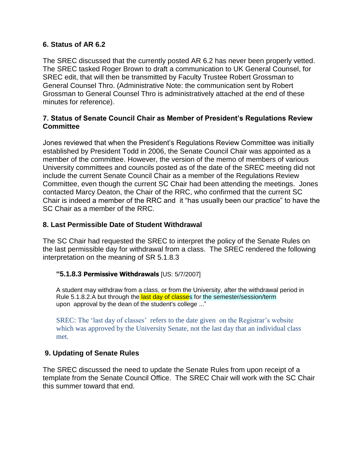## **6. Status of AR 6.2**

The SREC discussed that the currently posted AR 6.2 has never been properly vetted. The SREC tasked Roger Brown to draft a communication to UK General Counsel, for SREC edit, that will then be transmitted by Faculty Trustee Robert Grossman to General Counsel Thro. (Administrative Note: the communication sent by Robert Grossman to General Counsel Thro is administratively attached at the end of these minutes for reference).

### **7. Status of Senate Council Chair as Member of President's Regulations Review Committee**

Jones reviewed that when the President's Regulations Review Committee was initially established by President Todd in 2006, the Senate Council Chair was appointed as a member of the committee. However, the version of the memo of members of various University committees and councils posted as of the date of the SREC meeting did not include the current Senate Council Chair as a member of the Regulations Review Committee, even though the current SC Chair had been attending the meetings. Jones contacted Marcy Deaton, the Chair of the RRC, who confirmed that the current SC Chair is indeed a member of the RRC and it "has usually been our practice" to have the SC Chair as a member of the RRC.

## **8. Last Permissible Date of Student Withdrawal**

The SC Chair had requested the SREC to interpret the policy of the Senate Rules on the last permissible day for withdrawal from a class. The SREC rendered the following interpretation on the meaning of SR 5.1.8.3

### **"5.1.8.3 Permissive Withdrawals** [US: 5/7/2007]

A student may withdraw from a class, or from the University, after the withdrawal period in Rule 5.1.8.2.A but through the last day of classes for the semester/session/term upon approval by the dean of the student's college ..."

SREC: The 'last day of classes' refers to the date given on the Registrar's website which was approved by the University Senate, not the last day that an individual class met.

# **9. Updating of Senate Rules**

The SREC discussed the need to update the Senate Rules from upon receipt of a template from the Senate Council Office. The SREC Chair will work with the SC Chair this summer toward that end.